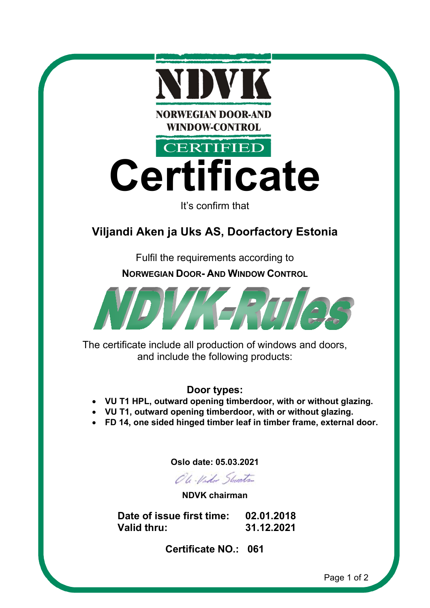

The certificate include all production of windows and doors, and include the following products:

## **Door types:**

- **VU T1 HPL, outward opening timberdoor, with or without glazing.**
- **VU T1, outward opening timberdoor, with or without glazing.**
- **FD 14, one sided hinged timber leaf in timber frame, external door.**

**Oslo date: 05.03.2021**

Ole-Video Stunton

**NDVK chairman**

**Date of issue first time: 02.01.2018 Valid thru: 31.12.2021**

**Certificate NO.: 061**